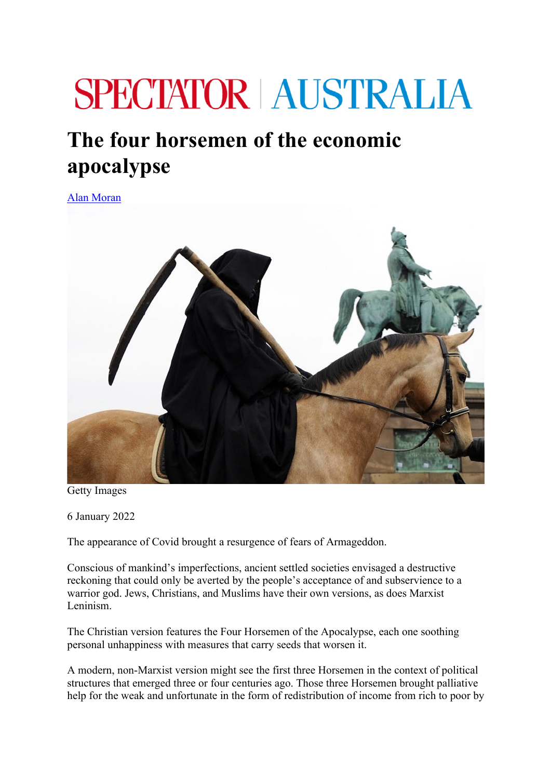## **SPECTATOR AUSTRALIA**

## **The four horsemen of the economic apocalypse**

Alan Moran



Getty Images

6 January 2022

The appearance of Covid brought a resurgence of fears of Armageddon.

Conscious of mankind's imperfections, ancient settled societies envisaged a destructive reckoning that could only be averted by the people's acceptance of and subservience to a warrior god. Jews, Christians, and Muslims have their own versions, as does Marxist Leninism.

The Christian version features the Four Horsemen of the Apocalypse, each one soothing personal unhappiness with measures that carry seeds that worsen it.

A modern, non-Marxist version might see the first three Horsemen in the context of political structures that emerged three or four centuries ago. Those three Horsemen brought palliative help for the weak and unfortunate in the form of redistribution of income from rich to poor by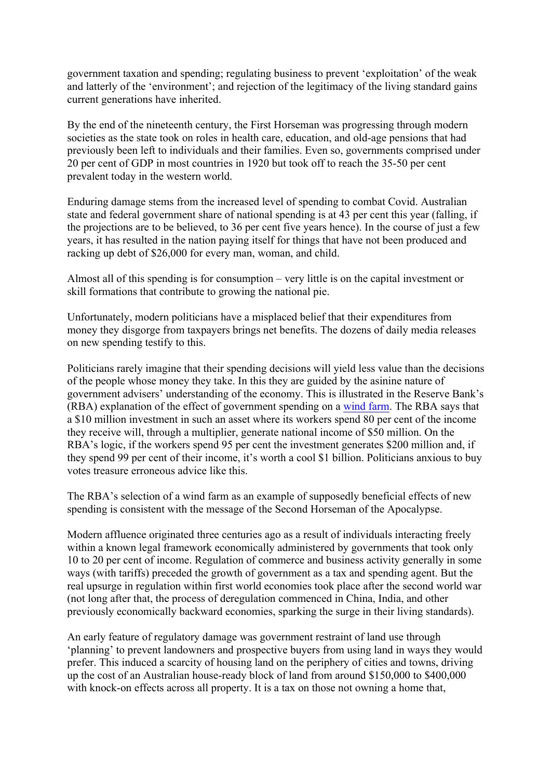government taxation and spending; regulating business to prevent 'exploitation' of the weak and latterly of the 'environment'; and rejection of the legitimacy of the living standard gains current generations have inherited.

By the end of the nineteenth century, the First Horseman was progressing through modern societies as the state took on roles in health care, education, and old-age pensions that had previously been left to individuals and their families. Even so, governments comprised under 20 per cent of GDP in most countries in 1920 but took off to reach the 35-50 per cent prevalent today in the western world.

Enduring damage stems from the increased level of spending to combat Covid. Australian state and federal government share of national spending is at 43 per cent this year (falling, if the projections are to be believed, to 36 per cent five years hence). In the course of just a few years, it has resulted in the nation paying itself for things that have not been produced and racking up debt of \$26,000 for every man, woman, and child.

Almost all of this spending is for consumption – very little is on the capital investment or skill formations that contribute to growing the national pie.

Unfortunately, modern politicians have a misplaced belief that their expenditures from money they disgorge from taxpayers brings net benefits. The dozens of daily media releases on new spending testify to this.

Politicians rarely imagine that their spending decisions will yield less value than the decisions of the people whose money they take. In this they are guided by the asinine nature of government advisers' understanding of the economy. This is illustrated in the Reserve Bank's (RBA) explanation of the effect of government spending on a wind farm. The RBA says that a \$10 million investment in such an asset where its workers spend 80 per cent of the income they receive will, through a multiplier, generate national income of \$50 million. On the RBA's logic, if the workers spend 95 per cent the investment generates \$200 million and, if they spend 99 per cent of their income, it's worth a cool \$1 billion. Politicians anxious to buy votes treasure erroneous advice like this.

The RBA's selection of a wind farm as an example of supposedly beneficial effects of new spending is consistent with the message of the Second Horseman of the Apocalypse.

Modern affluence originated three centuries ago as a result of individuals interacting freely within a known legal framework economically administered by governments that took only 10 to 20 per cent of income. Regulation of commerce and business activity generally in some ways (with tariffs) preceded the growth of government as a tax and spending agent. But the real upsurge in regulation within first world economies took place after the second world war (not long after that, the process of deregulation commenced in China, India, and other previously economically backward economies, sparking the surge in their living standards).

An early feature of regulatory damage was government restraint of land use through 'planning' to prevent landowners and prospective buyers from using land in ways they would prefer. This induced a scarcity of housing land on the periphery of cities and towns, driving up the cost of an Australian house-ready block of land from around \$150,000 to \$400,000 with knock-on effects across all property. It is a tax on those not owning a home that,